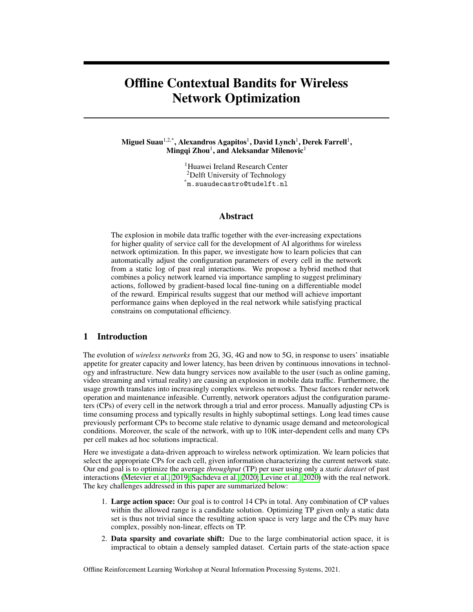# Offline Contextual Bandits for Wireless Network Optimization

Miguel Suau $^{1,2,\ast},$  Alexandros Agapitos $^{1},$  David Lynch $^{1},$  Derek Farrell $^{1},$ Mingqi Zhou<sup>1</sup>, and Aleksandar Milenovic<sup>1</sup>

> <sup>1</sup>Huawei Ireland Research Center <sup>2</sup>Delft University of Technology \*m.suaudecastro@tudelft.nl

# Abstract

The explosion in mobile data traffic together with the ever-increasing expectations for higher quality of service call for the development of AI algorithms for wireless network optimization. In this paper, we investigate how to learn policies that can automatically adjust the configuration parameters of every cell in the network from a static log of past real interactions. We propose a hybrid method that combines a policy network learned via importance sampling to suggest preliminary actions, followed by gradient-based local fine-tuning on a differentiable model of the reward. Empirical results suggest that our method will achieve important performance gains when deployed in the real network while satisfying practical constrains on computational efficiency.

## 1 Introduction

The evolution of *wireless networks* from 2G, 3G, 4G and now to 5G, in response to users' insatiable appetite for greater capacity and lower latency, has been driven by continuous innovations in technology and infrastructure. New data hungry services now available to the user (such as online gaming, video streaming and virtual reality) are causing an explosion in mobile data traffic. Furthermore, the usage growth translates into increasingly complex wireless networks. These factors render network operation and maintenance infeasible. Currently, network operators adjust the configuration parameters (CPs) of every cell in the network through a trial and error process. Manually adjusting CPs is time consuming process and typically results in highly suboptimal settings. Long lead times cause previously performant CPs to become stale relative to dynamic usage demand and meteorological conditions. Moreover, the scale of the network, with up to 10K inter-dependent cells and many CPs per cell makes ad hoc solutions impractical.

Here we investigate a data-driven approach to wireless network optimization. We learn policies that select the appropriate CPs for each cell, given information characterizing the current network state. Our end goal is to optimize the average *throughput* (TP) per user using only a *static dataset* of past interactions [\(Metevier et al., 2019;](#page-6-0) [Sachdeva et al., 2020;](#page-7-0) [Levine et al., 2020\)](#page-6-1) with the real network. The key challenges addressed in this paper are summarized below:

- 1. Large action space: Our goal is to control 14 CPs in total. Any combination of CP values within the allowed range is a candidate solution. Optimizing TP given only a static data set is thus not trivial since the resulting action space is very large and the CPs may have complex, possibly non-linear, effects on TP.
- 2. Data sparsity and covariate shift: Due to the large combinatorial action space, it is impractical to obtain a densely sampled dataset. Certain parts of the state-action space

Offline Reinforcement Learning Workshop at Neural Information Processing Systems, 2021.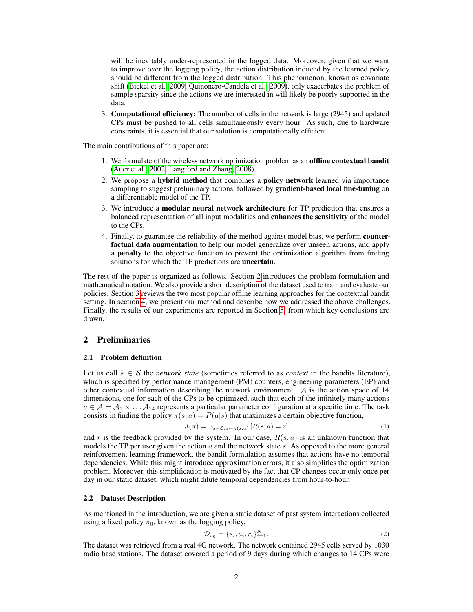will be inevitably under-represented in the logged data. Moreover, given that we want to improve over the logging policy, the action distribution induced by the learned policy should be different from the logged distribution. This phenomenon, known as covariate shift [\(Bickel et al., 2009;](#page-6-2) [Quiñonero-Candela et al., 2009\)](#page-7-1), only exacerbates the problem of sample sparsity since the actions we are interested in will likely be poorly supported in the data.

3. Computational efficiency: The number of cells in the network is large (2945) and updated CPs must be pushed to all cells simultaneously every hour. As such, due to hardware constraints, it is essential that our solution is computationally efficient.

The main contributions of this paper are:

- 1. We formulate of the wireless network optimization problem as an offline contextual bandit [\(Auer et al., 2002;](#page-6-3) [Langford and Zhang, 2008\)](#page-6-4).
- 2. We propose a hybrid method that combines a policy network learned via importance sampling to suggest preliminary actions, followed by **gradient-based local fine-tuning** on a differentiable model of the TP.
- 3. We introduce a modular neural network architecture for TP prediction that ensures a balanced representation of all input modalities and enhances the sensitivity of the model to the CPs.
- 4. Finally, to guarantee the reliability of the method against model bias, we perform counterfactual data augmentation to help our model generalize over unseen actions, and apply a penalty to the objective function to prevent the optimization algorithm from finding solutions for which the TP predictions are uncertain.

The rest of the paper is organized as follows. Section [2](#page-1-0) introduces the problem formulation and mathematical notation. We also provide a short description of the dataset used to train and evaluate our policies. Section [3](#page-2-0) reviews the two most popular offline learning approaches for the contextual bandit setting. In section [4,](#page-2-1) we present our method and describe how we addressed the above challenges. Finally, the results of our experiments are reported in Section [5,](#page-4-0) from which key conclusions are drawn.

# <span id="page-1-0"></span>2 Preliminaries

## 2.1 Problem definition

Let us call  $s \in S$  the *network state* (sometimes referred to as *context* in the bandits literature), which is specified by performance management (PM) counters, engineering parameters (EP) and other contextual information describing the network environment.  $\mathcal A$  is the action space of 14 dimensions, one for each of the CPs to be optimized, such that each of the infinitely many actions  $a \in A = A_1 \times \ldots A_{14}$  represents a particular parameter configuration at a specific time. The task consists in finding the policy  $\pi(s, a) = P(a|s)$  that maximizes a certain objective function,

$$
J(\pi) = \mathbb{E}_{s \sim \mathcal{S}, a \sim \pi(s, a)} [R(s, a) = r]
$$
\n(1)

and r is the feedback provided by the system. In our case,  $R(s, a)$  is an unknown function that models the TP per user given the action  $a$  and the network state  $s$ . As opposed to the more general reinforcement learning framework, the bandit formulation assumes that actions have no temporal dependencies. While this might introduce approximation errors, it also simplifies the optimization problem. Moreover, this simplification is motivated by the fact that CP changes occur only once per day in our static dataset, which might dilute temporal dependencies from hour-to-hour.

#### 2.2 Dataset Description

As mentioned in the introduction, we are given a static dataset of past system interactions collected using a fixed policy  $\pi_0$ , known as the logging policy,

$$
\mathcal{D}_{\pi_0} = \{s_i, a_i, r_i\}_{i=1}^N.
$$
\n(2)

The dataset was retrieved from a real 4G network. The network contained 2945 cells served by 1030 radio base stations. The dataset covered a period of 9 days during which changes to 14 CPs were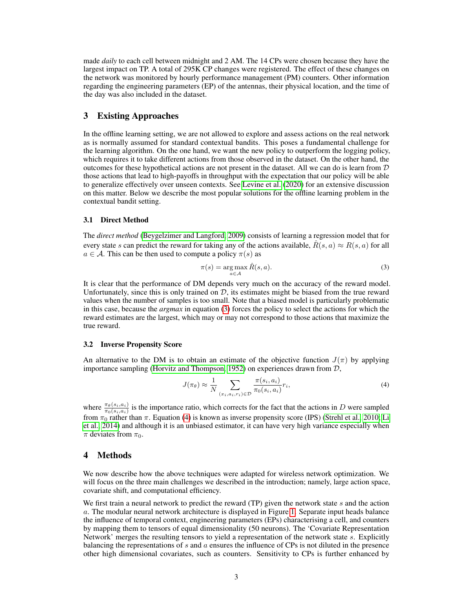made *daily* to each cell between midnight and 2 AM. The 14 CPs were chosen because they have the largest impact on TP. A total of 295K CP changes were registered. The effect of these changes on the network was monitored by hourly performance management (PM) counters. Other information regarding the engineering parameters (EP) of the antennas, their physical location, and the time of the day was also included in the dataset.

# <span id="page-2-0"></span>3 Existing Approaches

In the offline learning setting, we are not allowed to explore and assess actions on the real network as is normally assumed for standard contextual bandits. This poses a fundamental challenge for the learning algorithm. On the one hand, we want the new policy to outperform the logging policy, which requires it to take different actions from those observed in the dataset. On the other hand, the outcomes for these hypothetical actions are not present in the dataset. All we can do is learn from D those actions that lead to high-payoffs in throughput with the expectation that our policy will be able to generalize effectively over unseen contexts. See [Levine et al.](#page-6-1) [\(2020\)](#page-6-1) for an extensive discussion on this matter. Below we describe the most popular solutions for the offline learning problem in the contextual bandit setting.

#### <span id="page-2-4"></span>3.1 Direct Method

The *direct method* [\(Beygelzimer and Langford, 2009\)](#page-6-5) consists of learning a regression model that for every state s can predict the reward for taking any of the actions available,  $R(s, a) \approx R(s, a)$  for all  $a \in \mathcal{A}$ . This can be then used to compute a policy  $\pi(s)$  as

<span id="page-2-2"></span>
$$
\pi(s) = \underset{a \in \mathcal{A}}{\arg \max} \hat{R}(s, a). \tag{3}
$$

It is clear that the performance of DM depends very much on the accuracy of the reward model. Unfortunately, since this is only trained on  $D$ , its estimates might be biased from the true reward values when the number of samples is too small. Note that a biased model is particularly problematic in this case, because the *argmax* in equation [\(3\)](#page-2-2) forces the policy to select the actions for which the reward estimates are the largest, which may or may not correspond to those actions that maximize the true reward.

#### 3.2 Inverse Propensity Score

An alternative to the DM is to obtain an estimate of the objective function  $J(\pi)$  by applying importance sampling [\(Horvitz and Thompson, 1952\)](#page-6-6) on experiences drawn from D,

<span id="page-2-3"></span>
$$
J(\pi_{\theta}) \approx \frac{1}{N} \sum_{(x_i, a_i, r_i) \in \mathcal{D}} \frac{\pi(s_i, a_i)}{\pi_0(s_i, a_i)} r_i,
$$
\n
$$
(4)
$$

where  $\frac{\pi_{\theta}(s_i, a_i)}{\pi_0(s_i, a_i)}$  is the importance ratio, which corrects for the fact that the actions in D were sampled from  $\pi_0$  rather than  $\pi$ . Equation [\(4\)](#page-2-3) is known as inverse propensity score (IPS) [\(Strehl et al., 2010;](#page-7-2) [Li](#page-6-7) [et al., 2014\)](#page-6-7) and although it is an unbiased estimator, it can have very high variance especially when  $\pi$  deviates from  $\pi_0$ .

### <span id="page-2-1"></span>4 Methods

We now describe how the above techniques were adapted for wireless network optimization. We will focus on the three main challenges we described in the introduction; namely, large action space, covariate shift, and computational efficiency.

We first train a neural network to predict the reward  $(TP)$  given the network state s and the action a. The modular neural network architecture is displayed in Figure [1.](#page-3-0) Separate input heads balance the influence of temporal context, engineering parameters (EPs) characterising a cell, and counters by mapping them to tensors of equal dimensionality (50 neurons). The 'Covariate Representation Network' merges the resulting tensors to yield a representation of the network state s. Explicitly balancing the representations of s and a ensures the influence of CPs is not diluted in the presence other high dimensional covariates, such as counters. Sensitivity to CPs is further enhanced by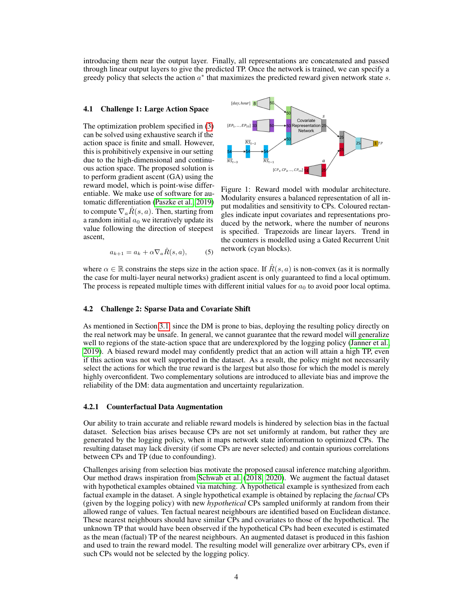introducing them near the output layer. Finally, all representations are concatenated and passed through linear output layers to give the predicted TP. Once the network is trained, we can specify a greedy policy that selects the action  $a^*$  that maximizes the predicted reward given network state s.

#### 4.1 Challenge 1: Large Action Space

The optimization problem specified in [\(3\)](#page-2-2) can be solved using exhaustive search if the action space is finite and small. However, this is prohibitively expensive in our setting due to the high-dimensional and continuous action space. The proposed solution is to perform gradient ascent (GA) using the reward model, which is point-wise differentiable. We make use of software for automatic differentiation [\(Paszke et al., 2019\)](#page-7-3) to compute  $\nabla_a \hat{R}(s, a)$ . Then, starting from a random initial  $a_0$  we iteratively update its value following the direction of steepest ascent,

<span id="page-3-0"></span>

Figure 1: Reward model with modular architecture. Modularity ensures a balanced representation of all input modalities and sensitivity to CPs. Coloured rectangles indicate input covariates and representations produced by the network, where the number of neurons is specified. Trapezoids are linear layers. Trend in the counters is modelled using a Gated Recurrent Unit network (cyan blocks).

 $a_{k+1} = a_k + \alpha \nabla_a \hat{R}(s, a),$  (5)

where  $\alpha \in \mathbb{R}$  constrains the steps size in the action space. If  $\hat{R}(s, a)$  is non-convex (as it is normally the case for multi-layer neural networks) gradient ascent is only guaranteed to find a local optimum. The process is repeated multiple times with different initial values for  $a_0$  to avoid poor local optima.

#### 4.2 Challenge 2: Sparse Data and Covariate Shift

As mentioned in Section [3.1,](#page-2-4) since the DM is prone to bias, deploying the resulting policy directly on the real network may be unsafe. In general, we cannot guarantee that the reward model will generalize well to regions of the state-action space that are underexplored by the logging policy [\(Janner et al.,](#page-6-8) [2019\)](#page-6-8). A biased reward model may confidently predict that an action will attain a high TP, even if this action was not well supported in the dataset. As a result, the policy might not necessarily select the actions for which the true reward is the largest but also those for which the model is merely highly overconfident. Two complementary solutions are introduced to alleviate bias and improve the reliability of the DM: data augmentation and uncertainty regularization.

#### 4.2.1 Counterfactual Data Augmentation

Our ability to train accurate and reliable reward models is hindered by selection bias in the factual dataset. Selection bias arises because CPs are not set uniformly at random, but rather they are generated by the logging policy, when it maps network state information to optimized CPs. The resulting dataset may lack diversity (if some CPs are never selected) and contain spurious correlations between CPs and TP (due to confounding).

Challenges arising from selection bias motivate the proposed causal inference matching algorithm. Our method draws inspiration from [Schwab et al.](#page-7-4) [\(2018,](#page-7-4) [2020\)](#page-7-5). We augment the factual dataset with hypothetical examples obtained via matching. A hypothetical example is synthesized from each factual example in the dataset. A single hypothetical example is obtained by replacing the *factual* CPs (given by the logging policy) with new *hypothetical* CPs sampled uniformly at random from their allowed range of values. Ten factual nearest neighbours are identified based on Euclidean distance. These nearest neighbours should have similar CPs and covariates to those of the hypothetical. The unknown TP that would have been observed if the hypothetical CPs had been executed is estimated as the mean (factual) TP of the nearest neighbours. An augmented dataset is produced in this fashion and used to train the reward model. The resulting model will generalize over arbitrary CPs, even if such CPs would not be selected by the logging policy.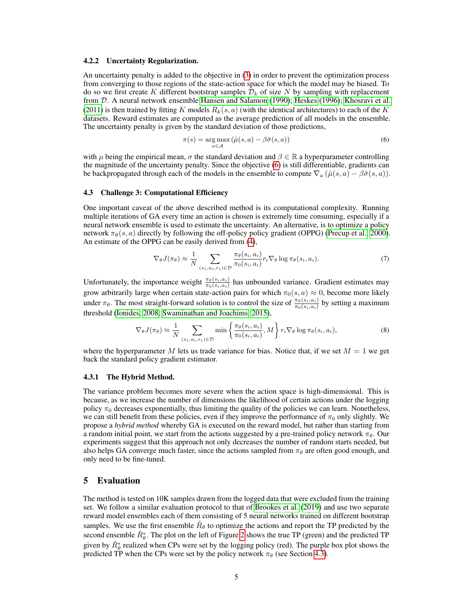#### 4.2.2 Uncertainty Regularization.

An uncertainty penalty is added to the objective in [\(3\)](#page-2-2) in order to prevent the optimization process from converging to those regions of the state-action space for which the model may be biased. To do so we first create K different bootstrap samples  $\mathcal{D}_k$  of size N by sampling with replacement from D. A neural network ensemble [Hansen and Salamon](#page-6-9) [\(1990\)](#page-6-9); [Heskes](#page-6-10) [\(1996\)](#page-6-10); [Khosravi et al.](#page-6-11) [\(2011\)](#page-6-11) is then trained by fitting K models  $\hat{R}_k(s, a)$  (with the identical architectures) to each of the K datasets. Reward estimates are computed as the average prediction of all models in the ensemble. The uncertainty penalty is given by the standard deviation of those predictions,

<span id="page-4-1"></span>
$$
\pi(s) = \underset{a \in \mathcal{A}}{\arg \max} \left( \hat{\mu}(s, a) - \beta \hat{\sigma}(s, a) \right) \tag{6}
$$

with  $\mu$  being the empirical mean,  $\sigma$  the standard deviation and  $\beta \in \mathbb{R}$  a hyperparameter controlling the magnitude of the uncertainty penalty. Since the objective [\(6\)](#page-4-1) is still differentiable, gradients can be backpropagated through each of the models in the ensemble to compute  $\nabla_a (\hat{\mu}(s, a) - \beta \hat{\sigma}(s, a)).$ 

#### <span id="page-4-2"></span>4.3 Challenge 3: Computational Efficiency

One important caveat of the above described method is its computational complexity. Running multiple iterations of GA every time an action is chosen is extremely time consuming, especially if a neural network ensemble is used to estimate the uncertainty. An alternative, is to optimize a policy network  $\pi_{\theta}(s, a)$  directly by following the off-policy policy gradient (OPPG) [\(Precup et al., 2000\)](#page-7-6). An estimate of the OPPG can be easily derived from [\(4\)](#page-2-3),

$$
\nabla_{\theta} J(\pi_{\theta}) \approx \frac{1}{N} \sum_{(x_i, a_i, r_i) \in \mathcal{D}} \frac{\pi_{\theta}(s_i, a_i)}{\pi_0(s_i, a_i)} r_i \nabla_{\theta} \log \pi_{\theta}(s_i, a_i).
$$
\n<sup>(7)</sup>

Unfortunately, the importance weight  $\frac{\pi_{\theta}(s_i, a_i)}{\pi_0(s_i, a_i)}$  has unbounded variance. Gradient estimates may grow arbitrarily large when certain state-action pairs for which  $\pi_0(s, a) \approx 0$ , become more likely under  $\pi_{\theta}$ . The most straight-forward solution is to control the size of  $\frac{\pi_{\theta}(s_i, a_i)}{\pi_0(s_i, a_i)}$  by setting a maximum threshold [\(Ionides, 2008;](#page-6-12) [Swaminathan and Joachims, 2015\)](#page-7-7),

$$
\nabla_{\theta} J(\pi_{\theta}) \approx \frac{1}{N} \sum_{(x_i, a_i, r_i) \in \mathcal{D}} \min \left\{ \frac{\pi_{\theta}(s_i, a_i)}{\pi_0(s_i, a_i)}, M \right\} r_i \nabla_{\theta} \log \pi_{\theta}(s_i, a_i), \tag{8}
$$

where the hyperparameter M lets us trade variance for bias. Notice that, if we set  $M = 1$  we get back the standard policy gradient estimator.

#### 4.3.1 The Hybrid Method.

The variance problem becomes more severe when the action space is high-dimensional. This is because, as we increase the number of dimensions the likelihood of certain actions under the logging policy  $\pi_0$  decreases exponentially, thus limiting the quality of the policies we can learn. Nonetheless, we can still benefit from these policies, even if they improve the performance of  $\pi_0$  only slightly. We propose a *hybrid method* whereby GA is executed on the reward model, but rather than starting from a random initial point, we start from the actions suggested by a pre-trained policy network  $\pi_{\theta}$ . Our experiments suggest that this approach not only decreases the number of random starts needed, but also helps GA converge much faster, since the actions sampled from  $\pi_{\theta}$  are often good enough, and only need to be fine-tuned.

## <span id="page-4-0"></span>5 Evaluation

The method is tested on 10K samples drawn from the logged data that were excluded from the training set. We follow a similar evaluation protocol to that of [Brookes et al.](#page-6-13) [\(2019\)](#page-6-13) and use two separate reward model ensembles each of them consisting of 5 neural networks trained on different bootstrap samples. We use the first ensemble  $\hat{R}_{\theta}$  to optimize the actions and report the TP predicted by the second ensemble  $\hat{R}^*_{\theta}$ . The plot on the left of Figure [2](#page-5-0) shows the true TP (green) and the predicted TP given by  $\hat{R}^*_{\theta}$  realized when CPs were set by the logging policy (red). The purple box plot shows the predicted TP when the CPs were set by the policy network  $\pi_{\theta}$  (see Section [4.3\)](#page-4-2).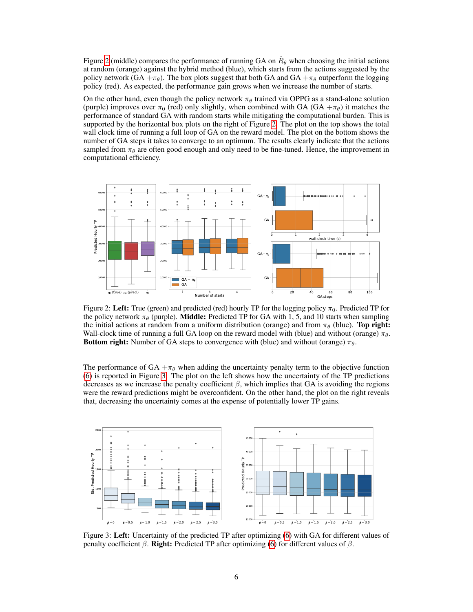Figure [2](#page-5-0) (middle) compares the performance of running GA on  $\hat{R}_{\theta}$  when choosing the initial actions at random (orange) against the hybrid method (blue), which starts from the actions suggested by the policy network (GA  $+\pi_{\theta}$ ). The box plots suggest that both GA and GA  $+\pi_{\theta}$  outperform the logging policy (red). As expected, the performance gain grows when we increase the number of starts.

On the other hand, even though the policy network  $\pi_{\theta}$  trained via OPPG as a stand-alone solution (purple) improves over  $\pi_0$  (red) only slightly, when combined with GA (GA  $+\pi_\theta$ ) it matches the performance of standard GA with random starts while mitigating the computational burden. This is supported by the horizontal box plots on the right of Figure [2.](#page-5-0) The plot on the top shows the total wall clock time of running a full loop of GA on the reward model. The plot on the bottom shows the number of GA steps it takes to converge to an optimum. The results clearly indicate that the actions sampled from  $\pi_{\theta}$  are often good enough and only need to be fine-tuned. Hence, the improvement in computational efficiency.

<span id="page-5-0"></span>

Figure 2: Left: True (green) and predicted (red) hourly TP for the logging policy  $\pi_0$ . Predicted TP for the policy network  $\pi_{\theta}$  (purple). **Middle:** Predicted TP for GA with 1, 5, and 10 starts when sampling the initial actions at random from a uniform distribution (orange) and from  $\pi_{\theta}$  (blue). Top right: Wall-clock time of running a full GA loop on the reward model with (blue) and without (orange)  $\pi_{\theta}$ . Bottom right: Number of GA steps to convergence with (blue) and without (orange)  $\pi_{\theta}$ .

The performance of GA  $+\pi_{\theta}$  when adding the uncertainty penalty term to the objective function [\(6\)](#page-4-1) is reported in Figure [3.](#page-5-1) The plot on the left shows how the uncertainty of the TP predictions decreases as we increase the penalty coefficient  $\beta$ , which implies that GA is avoiding the regions were the reward predictions might be overconfident. On the other hand, the plot on the right reveals that, decreasing the uncertainty comes at the expense of potentially lower TP gains.

<span id="page-5-1"></span>

Figure 3: Left: Uncertainty of the predicted TP after optimizing [\(6\)](#page-4-1) with GA for different values of penalty coefficient  $β$ . Right: Predicted TP after optimizing [\(6\)](#page-4-1) for different values of  $β$ .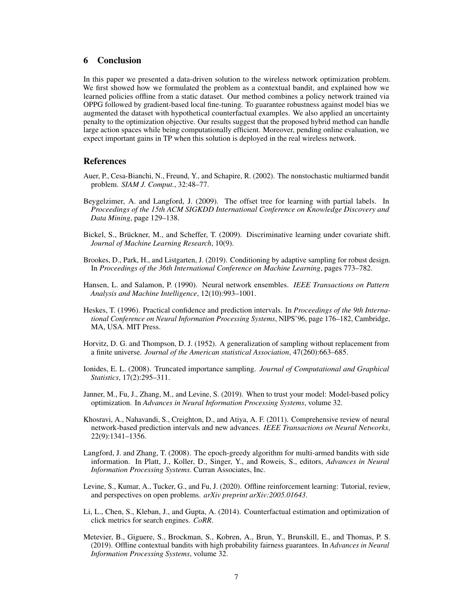# 6 Conclusion

In this paper we presented a data-driven solution to the wireless network optimization problem. We first showed how we formulated the problem as a contextual bandit, and explained how we learned policies offline from a static dataset. Our method combines a policy network trained via OPPG followed by gradient-based local fine-tuning. To guarantee robustness against model bias we augmented the dataset with hypothetical counterfactual examples. We also applied an uncertainty penalty to the optimization objective. Our results suggest that the proposed hybrid method can handle large action spaces while being computationally efficient. Moreover, pending online evaluation, we expect important gains in TP when this solution is deployed in the real wireless network.

## References

- <span id="page-6-3"></span>Auer, P., Cesa-Bianchi, N., Freund, Y., and Schapire, R. (2002). The nonstochastic multiarmed bandit problem. *SIAM J. Comput.*, 32:48–77.
- <span id="page-6-5"></span>Beygelzimer, A. and Langford, J. (2009). The offset tree for learning with partial labels. In *Proceedings of the 15th ACM SIGKDD International Conference on Knowledge Discovery and Data Mining*, page 129–138.
- <span id="page-6-2"></span>Bickel, S., Brückner, M., and Scheffer, T. (2009). Discriminative learning under covariate shift. *Journal of Machine Learning Research*, 10(9).
- <span id="page-6-13"></span>Brookes, D., Park, H., and Listgarten, J. (2019). Conditioning by adaptive sampling for robust design. In *Proceedings of the 36th International Conference on Machine Learning*, pages 773–782.
- <span id="page-6-9"></span>Hansen, L. and Salamon, P. (1990). Neural network ensembles. *IEEE Transactions on Pattern Analysis and Machine Intelligence*, 12(10):993–1001.
- <span id="page-6-10"></span>Heskes, T. (1996). Practical confidence and prediction intervals. In *Proceedings of the 9th International Conference on Neural Information Processing Systems*, NIPS'96, page 176–182, Cambridge, MA, USA. MIT Press.
- <span id="page-6-6"></span>Horvitz, D. G. and Thompson, D. J. (1952). A generalization of sampling without replacement from a finite universe. *Journal of the American statistical Association*, 47(260):663–685.
- <span id="page-6-12"></span>Ionides, E. L. (2008). Truncated importance sampling. *Journal of Computational and Graphical Statistics*, 17(2):295–311.
- <span id="page-6-8"></span>Janner, M., Fu, J., Zhang, M., and Levine, S. (2019). When to trust your model: Model-based policy optimization. In *Advances in Neural Information Processing Systems*, volume 32.
- <span id="page-6-11"></span>Khosravi, A., Nahavandi, S., Creighton, D., and Atiya, A. F. (2011). Comprehensive review of neural network-based prediction intervals and new advances. *IEEE Transactions on Neural Networks*, 22(9):1341–1356.
- <span id="page-6-4"></span>Langford, J. and Zhang, T. (2008). The epoch-greedy algorithm for multi-armed bandits with side information. In Platt, J., Koller, D., Singer, Y., and Roweis, S., editors, *Advances in Neural Information Processing Systems*. Curran Associates, Inc.
- <span id="page-6-1"></span>Levine, S., Kumar, A., Tucker, G., and Fu, J. (2020). Offline reinforcement learning: Tutorial, review, and perspectives on open problems. *arXiv preprint arXiv:2005.01643*.
- <span id="page-6-7"></span>Li, L., Chen, S., Kleban, J., and Gupta, A. (2014). Counterfactual estimation and optimization of click metrics for search engines. *CoRR*.
- <span id="page-6-0"></span>Metevier, B., Giguere, S., Brockman, S., Kobren, A., Brun, Y., Brunskill, E., and Thomas, P. S. (2019). Offline contextual bandits with high probability fairness guarantees. In *Advances in Neural Information Processing Systems*, volume 32.